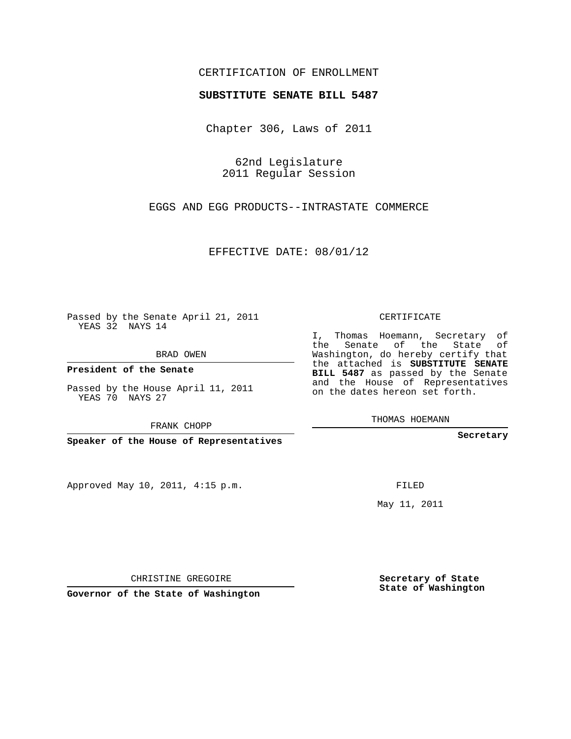## CERTIFICATION OF ENROLLMENT

## **SUBSTITUTE SENATE BILL 5487**

Chapter 306, Laws of 2011

62nd Legislature 2011 Regular Session

EGGS AND EGG PRODUCTS--INTRASTATE COMMERCE

EFFECTIVE DATE: 08/01/12

Passed by the Senate April 21, 2011 YEAS 32 NAYS 14

BRAD OWEN

**President of the Senate**

Passed by the House April 11, 2011 YEAS 70 NAYS 27

FRANK CHOPP

**Speaker of the House of Representatives**

Approved May 10, 2011, 4:15 p.m.

CERTIFICATE

I, Thomas Hoemann, Secretary of the Senate of the State of Washington, do hereby certify that the attached is **SUBSTITUTE SENATE BILL 5487** as passed by the Senate and the House of Representatives on the dates hereon set forth.

THOMAS HOEMANN

**Secretary**

FILED

May 11, 2011

**Secretary of State State of Washington**

CHRISTINE GREGOIRE

**Governor of the State of Washington**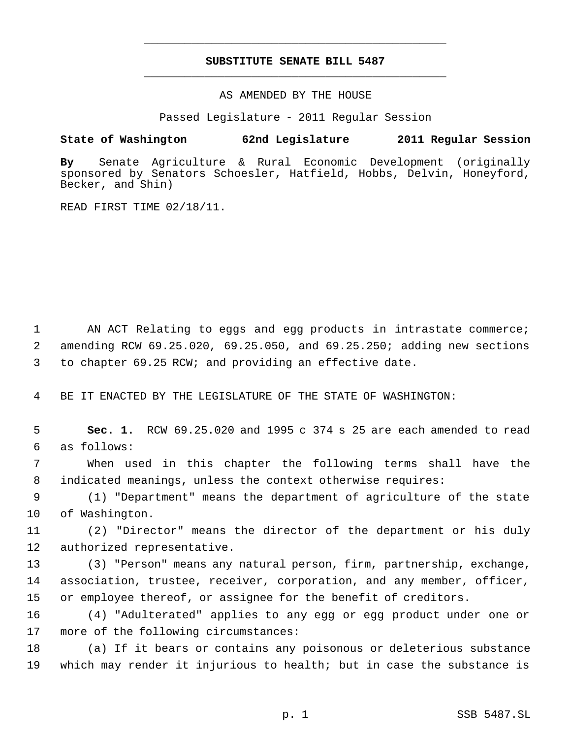## **SUBSTITUTE SENATE BILL 5487** \_\_\_\_\_\_\_\_\_\_\_\_\_\_\_\_\_\_\_\_\_\_\_\_\_\_\_\_\_\_\_\_\_\_\_\_\_\_\_\_\_\_\_\_\_

\_\_\_\_\_\_\_\_\_\_\_\_\_\_\_\_\_\_\_\_\_\_\_\_\_\_\_\_\_\_\_\_\_\_\_\_\_\_\_\_\_\_\_\_\_

AS AMENDED BY THE HOUSE

Passed Legislature - 2011 Regular Session

## **State of Washington 62nd Legislature 2011 Regular Session**

**By** Senate Agriculture & Rural Economic Development (originally sponsored by Senators Schoesler, Hatfield, Hobbs, Delvin, Honeyford, Becker, and Shin)

READ FIRST TIME 02/18/11.

 AN ACT Relating to eggs and egg products in intrastate commerce; amending RCW 69.25.020, 69.25.050, and 69.25.250; adding new sections to chapter 69.25 RCW; and providing an effective date.

BE IT ENACTED BY THE LEGISLATURE OF THE STATE OF WASHINGTON:

 **Sec. 1.** RCW 69.25.020 and 1995 c 374 s 25 are each amended to read as follows:

 When used in this chapter the following terms shall have the indicated meanings, unless the context otherwise requires:

 (1) "Department" means the department of agriculture of the state of Washington.

 (2) "Director" means the director of the department or his duly authorized representative.

 (3) "Person" means any natural person, firm, partnership, exchange, association, trustee, receiver, corporation, and any member, officer, or employee thereof, or assignee for the benefit of creditors.

 (4) "Adulterated" applies to any egg or egg product under one or more of the following circumstances:

 (a) If it bears or contains any poisonous or deleterious substance which may render it injurious to health; but in case the substance is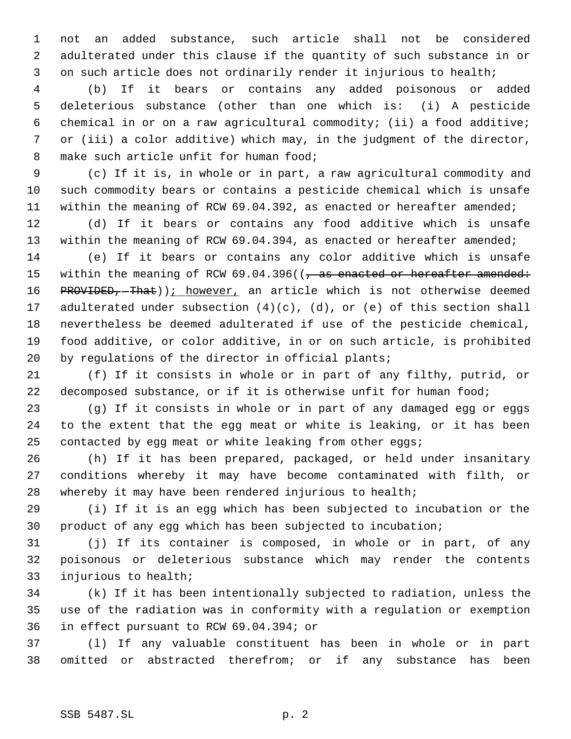not an added substance, such article shall not be considered adulterated under this clause if the quantity of such substance in or on such article does not ordinarily render it injurious to health;

 (b) If it bears or contains any added poisonous or added deleterious substance (other than one which is: (i) A pesticide chemical in or on a raw agricultural commodity; (ii) a food additive; or (iii) a color additive) which may, in the judgment of the director, make such article unfit for human food;

 (c) If it is, in whole or in part, a raw agricultural commodity and such commodity bears or contains a pesticide chemical which is unsafe 11 within the meaning of RCW 69.04.392, as enacted or hereafter amended;

 (d) If it bears or contains any food additive which is unsafe 13 within the meaning of RCW 69.04.394, as enacted or hereafter amended;

 (e) If it bears or contains any color additive which is unsafe 15 within the meaning of RCW 69.04.396((, as enacted or hereafter amended: 16 PROVIDED, That))<u>; however</u>, an article which is not otherwise deemed adulterated under subsection (4)(c), (d), or (e) of this section shall nevertheless be deemed adulterated if use of the pesticide chemical, food additive, or color additive, in or on such article, is prohibited by regulations of the director in official plants;

 (f) If it consists in whole or in part of any filthy, putrid, or 22 decomposed substance, or if it is otherwise unfit for human food;

 (g) If it consists in whole or in part of any damaged egg or eggs to the extent that the egg meat or white is leaking, or it has been contacted by egg meat or white leaking from other eggs;

 (h) If it has been prepared, packaged, or held under insanitary conditions whereby it may have become contaminated with filth, or whereby it may have been rendered injurious to health;

 (i) If it is an egg which has been subjected to incubation or the product of any egg which has been subjected to incubation;

 (j) If its container is composed, in whole or in part, of any poisonous or deleterious substance which may render the contents injurious to health;

 (k) If it has been intentionally subjected to radiation, unless the use of the radiation was in conformity with a regulation or exemption in effect pursuant to RCW 69.04.394; or

 (l) If any valuable constituent has been in whole or in part omitted or abstracted therefrom; or if any substance has been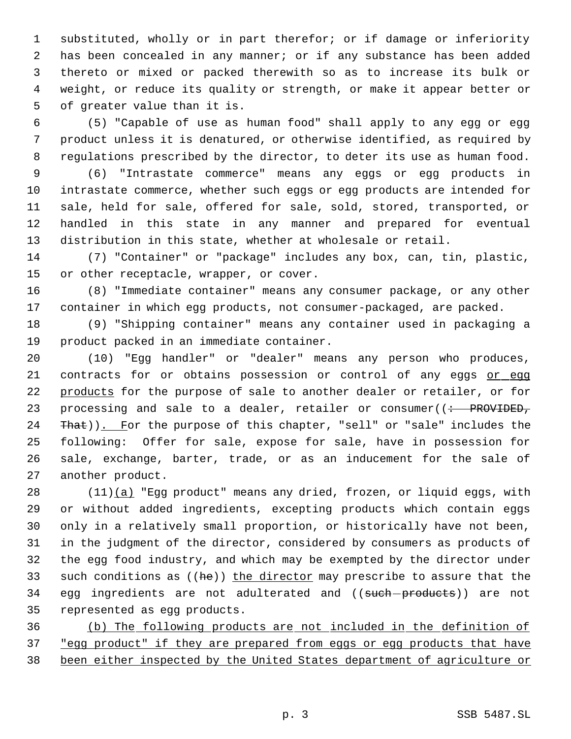substituted, wholly or in part therefor; or if damage or inferiority has been concealed in any manner; or if any substance has been added thereto or mixed or packed therewith so as to increase its bulk or weight, or reduce its quality or strength, or make it appear better or of greater value than it is.

 (5) "Capable of use as human food" shall apply to any egg or egg product unless it is denatured, or otherwise identified, as required by regulations prescribed by the director, to deter its use as human food.

 (6) "Intrastate commerce" means any eggs or egg products in intrastate commerce, whether such eggs or egg products are intended for sale, held for sale, offered for sale, sold, stored, transported, or handled in this state in any manner and prepared for eventual distribution in this state, whether at wholesale or retail.

 (7) "Container" or "package" includes any box, can, tin, plastic, or other receptacle, wrapper, or cover.

 (8) "Immediate container" means any consumer package, or any other container in which egg products, not consumer-packaged, are packed.

 (9) "Shipping container" means any container used in packaging a product packed in an immediate container.

 (10) "Egg handler" or "dealer" means any person who produces, 21 contracts for or obtains possession or control of any eggs or egg 22 products for the purpose of sale to another dealer or retailer, or for 23 processing and sale to a dealer, retailer or consumer( $($  + PROVIDED, 24 That)). For the purpose of this chapter, "sell" or "sale" includes the following: Offer for sale, expose for sale, have in possession for sale, exchange, barter, trade, or as an inducement for the sale of another product.

28 (11)(a) "Egg product" means any dried, frozen, or liquid eggs, with or without added ingredients, excepting products which contain eggs only in a relatively small proportion, or historically have not been, in the judgment of the director, considered by consumers as products of the egg food industry, and which may be exempted by the director under 33 such conditions as  $((he))$  the director may prescribe to assure that the 34 egg ingredients are not adulterated and ((such-products)) are not represented as egg products.

 (b) The following products are not included in the definition of 37 "egg product" if they are prepared from eggs or egg products that have been either inspected by the United States department of agriculture or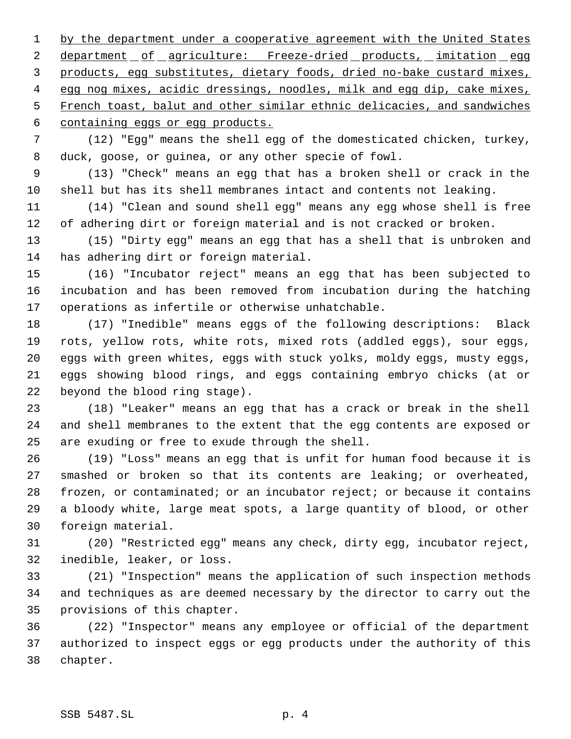1 by the department under a cooperative agreement with the United States 2 department of agriculture: Freeze-dried products, imitation egg products, egg substitutes, dietary foods, dried no-bake custard mixes, 4 egg nog mixes, acidic dressings, noodles, milk and egg dip, cake mixes, French toast, balut and other similar ethnic delicacies, and sandwiches containing eggs or egg products.

 (12) "Egg" means the shell egg of the domesticated chicken, turkey, duck, goose, or guinea, or any other specie of fowl.

 (13) "Check" means an egg that has a broken shell or crack in the shell but has its shell membranes intact and contents not leaking.

 (14) "Clean and sound shell egg" means any egg whose shell is free of adhering dirt or foreign material and is not cracked or broken.

 (15) "Dirty egg" means an egg that has a shell that is unbroken and has adhering dirt or foreign material.

 (16) "Incubator reject" means an egg that has been subjected to incubation and has been removed from incubation during the hatching operations as infertile or otherwise unhatchable.

 (17) "Inedible" means eggs of the following descriptions: Black rots, yellow rots, white rots, mixed rots (addled eggs), sour eggs, eggs with green whites, eggs with stuck yolks, moldy eggs, musty eggs, eggs showing blood rings, and eggs containing embryo chicks (at or beyond the blood ring stage).

 (18) "Leaker" means an egg that has a crack or break in the shell and shell membranes to the extent that the egg contents are exposed or are exuding or free to exude through the shell.

 (19) "Loss" means an egg that is unfit for human food because it is smashed or broken so that its contents are leaking; or overheated, frozen, or contaminated; or an incubator reject; or because it contains a bloody white, large meat spots, a large quantity of blood, or other foreign material.

 (20) "Restricted egg" means any check, dirty egg, incubator reject, inedible, leaker, or loss.

 (21) "Inspection" means the application of such inspection methods and techniques as are deemed necessary by the director to carry out the provisions of this chapter.

 (22) "Inspector" means any employee or official of the department authorized to inspect eggs or egg products under the authority of this chapter.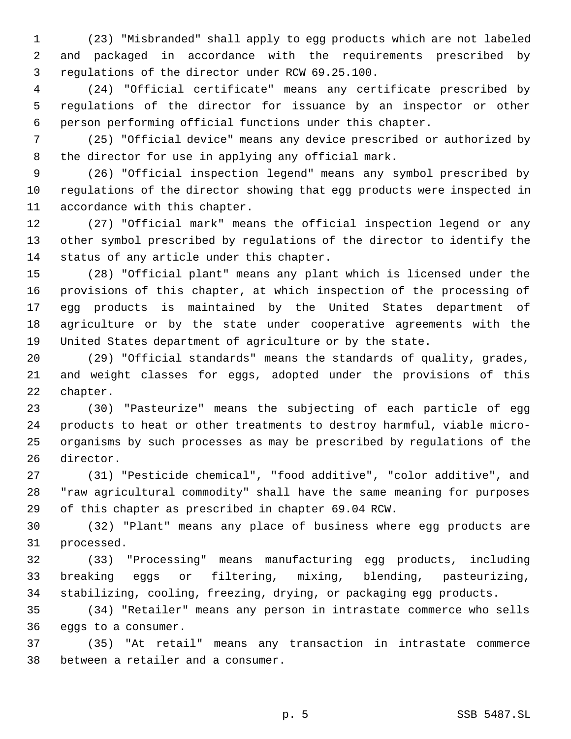(23) "Misbranded" shall apply to egg products which are not labeled and packaged in accordance with the requirements prescribed by regulations of the director under RCW 69.25.100.

 (24) "Official certificate" means any certificate prescribed by regulations of the director for issuance by an inspector or other person performing official functions under this chapter.

 (25) "Official device" means any device prescribed or authorized by the director for use in applying any official mark.

 (26) "Official inspection legend" means any symbol prescribed by regulations of the director showing that egg products were inspected in accordance with this chapter.

 (27) "Official mark" means the official inspection legend or any other symbol prescribed by regulations of the director to identify the status of any article under this chapter.

 (28) "Official plant" means any plant which is licensed under the provisions of this chapter, at which inspection of the processing of egg products is maintained by the United States department of agriculture or by the state under cooperative agreements with the United States department of agriculture or by the state.

 (29) "Official standards" means the standards of quality, grades, and weight classes for eggs, adopted under the provisions of this chapter.

 (30) "Pasteurize" means the subjecting of each particle of egg products to heat or other treatments to destroy harmful, viable micro- organisms by such processes as may be prescribed by regulations of the director.

 (31) "Pesticide chemical", "food additive", "color additive", and "raw agricultural commodity" shall have the same meaning for purposes of this chapter as prescribed in chapter 69.04 RCW.

 (32) "Plant" means any place of business where egg products are processed.

 (33) "Processing" means manufacturing egg products, including breaking eggs or filtering, mixing, blending, pasteurizing, stabilizing, cooling, freezing, drying, or packaging egg products.

 (34) "Retailer" means any person in intrastate commerce who sells eggs to a consumer.

 (35) "At retail" means any transaction in intrastate commerce between a retailer and a consumer.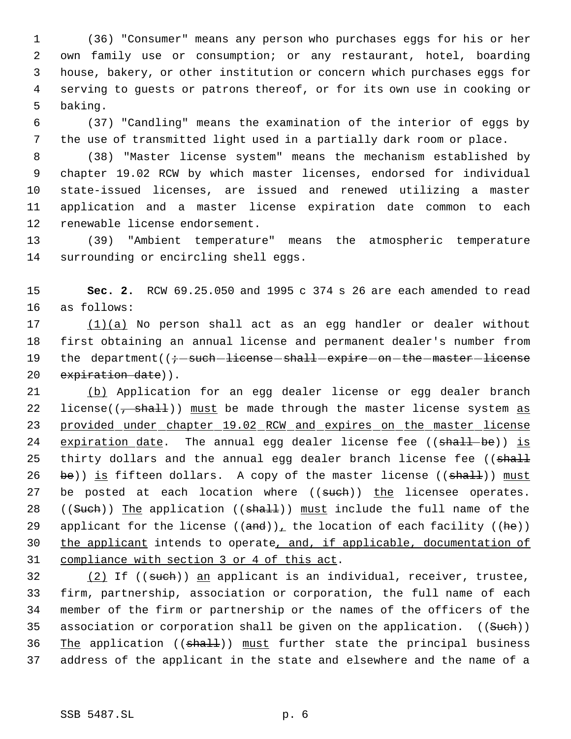(36) "Consumer" means any person who purchases eggs for his or her own family use or consumption; or any restaurant, hotel, boarding house, bakery, or other institution or concern which purchases eggs for serving to guests or patrons thereof, or for its own use in cooking or baking.

 (37) "Candling" means the examination of the interior of eggs by the use of transmitted light used in a partially dark room or place.

 (38) "Master license system" means the mechanism established by chapter 19.02 RCW by which master licenses, endorsed for individual state-issued licenses, are issued and renewed utilizing a master application and a master license expiration date common to each renewable license endorsement.

 (39) "Ambient temperature" means the atmospheric temperature surrounding or encircling shell eggs.

 **Sec. 2.** RCW 69.25.050 and 1995 c 374 s 26 are each amended to read as follows:

 (1)(a) No person shall act as an egg handler or dealer without first obtaining an annual license and permanent dealer's number from 19 the department(( $\div$ -such-license-shall-expire-on-the-master-license 20 expiration date)).

 (b) Application for an egg dealer license or egg dealer branch 22 license( $\left(\frac{1}{2} + \frac{1}{2} + \frac{1}{2}\right)$ ) must be made through the master license system as 23 provided under chapter 19.02 RCW and expires on the master license 24 expiration date. The annual egg dealer license fee  $((\text{shall}-\text{be}))$  is 25 thirty dollars and the annual egg dealer branch license fee ((shall 26 be)) is fifteen dollars. A copy of the master license  $((shall))$  must 27 be posted at each location where  $((such))$  the licensee operates. 28 ((Such)) The application (( $shall$ )) must include the full name of the 29 applicant for the license  $((and))_+$  the location of each facility  $((he))$ 30 the applicant intends to operate, and, if applicable, documentation of compliance with section 3 or 4 of this act.

32 (2) If ((such)) an applicant is an individual, receiver, trustee, firm, partnership, association or corporation, the full name of each member of the firm or partnership or the names of the officers of the 35 association or corporation shall be given on the application. ((Such)) 36 The application ((shall)) must further state the principal business address of the applicant in the state and elsewhere and the name of a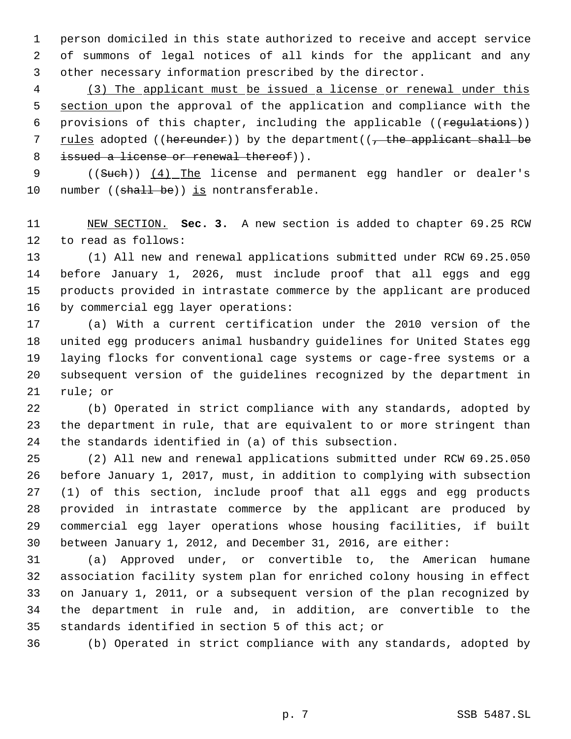person domiciled in this state authorized to receive and accept service of summons of legal notices of all kinds for the applicant and any other necessary information prescribed by the director.

 (3) The applicant must be issued a license or renewal under this 5 section upon the approval of the application and compliance with the 6 provisions of this chapter, including the applicable ((regulations)) 7 rules adopted ((hereunder)) by the department( $\sqrt{\frac{1}{r}}$  the applicant shall be 8 issued a license or renewal thereof)).

9 ((Such)) (4) The license and permanent egg handler or dealer's 10 number ((shall be)) is nontransferable.

 NEW SECTION. **Sec. 3.** A new section is added to chapter 69.25 RCW to read as follows:

 (1) All new and renewal applications submitted under RCW 69.25.050 before January 1, 2026, must include proof that all eggs and egg products provided in intrastate commerce by the applicant are produced by commercial egg layer operations:

 (a) With a current certification under the 2010 version of the united egg producers animal husbandry guidelines for United States egg laying flocks for conventional cage systems or cage-free systems or a subsequent version of the guidelines recognized by the department in rule; or

 (b) Operated in strict compliance with any standards, adopted by the department in rule, that are equivalent to or more stringent than the standards identified in (a) of this subsection.

 (2) All new and renewal applications submitted under RCW 69.25.050 before January 1, 2017, must, in addition to complying with subsection (1) of this section, include proof that all eggs and egg products provided in intrastate commerce by the applicant are produced by commercial egg layer operations whose housing facilities, if built between January 1, 2012, and December 31, 2016, are either:

 (a) Approved under, or convertible to, the American humane association facility system plan for enriched colony housing in effect on January 1, 2011, or a subsequent version of the plan recognized by the department in rule and, in addition, are convertible to the standards identified in section 5 of this act; or

(b) Operated in strict compliance with any standards, adopted by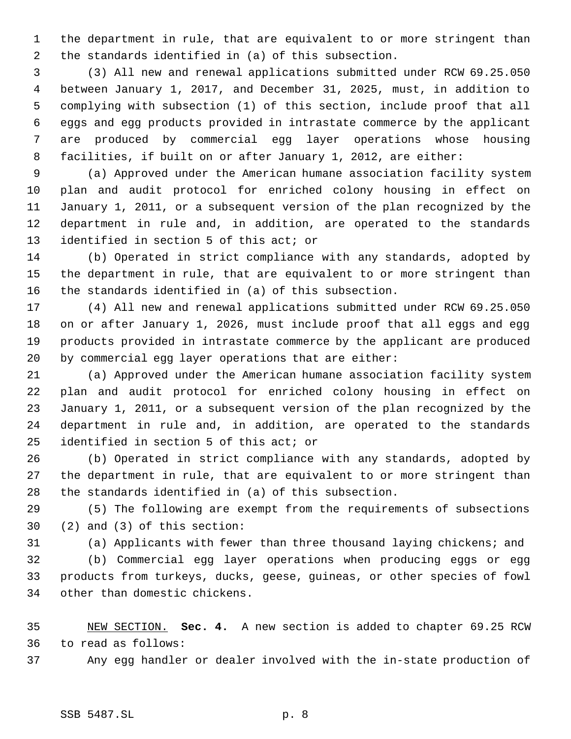the department in rule, that are equivalent to or more stringent than the standards identified in (a) of this subsection.

 (3) All new and renewal applications submitted under RCW 69.25.050 between January 1, 2017, and December 31, 2025, must, in addition to complying with subsection (1) of this section, include proof that all eggs and egg products provided in intrastate commerce by the applicant are produced by commercial egg layer operations whose housing facilities, if built on or after January 1, 2012, are either:

 (a) Approved under the American humane association facility system plan and audit protocol for enriched colony housing in effect on January 1, 2011, or a subsequent version of the plan recognized by the department in rule and, in addition, are operated to the standards identified in section 5 of this act; or

 (b) Operated in strict compliance with any standards, adopted by the department in rule, that are equivalent to or more stringent than the standards identified in (a) of this subsection.

 (4) All new and renewal applications submitted under RCW 69.25.050 on or after January 1, 2026, must include proof that all eggs and egg products provided in intrastate commerce by the applicant are produced by commercial egg layer operations that are either:

 (a) Approved under the American humane association facility system plan and audit protocol for enriched colony housing in effect on January 1, 2011, or a subsequent version of the plan recognized by the department in rule and, in addition, are operated to the standards identified in section 5 of this act; or

 (b) Operated in strict compliance with any standards, adopted by the department in rule, that are equivalent to or more stringent than the standards identified in (a) of this subsection.

 (5) The following are exempt from the requirements of subsections (2) and (3) of this section:

(a) Applicants with fewer than three thousand laying chickens; and

 (b) Commercial egg layer operations when producing eggs or egg products from turkeys, ducks, geese, guineas, or other species of fowl other than domestic chickens.

 NEW SECTION. **Sec. 4.** A new section is added to chapter 69.25 RCW to read as follows:

Any egg handler or dealer involved with the in-state production of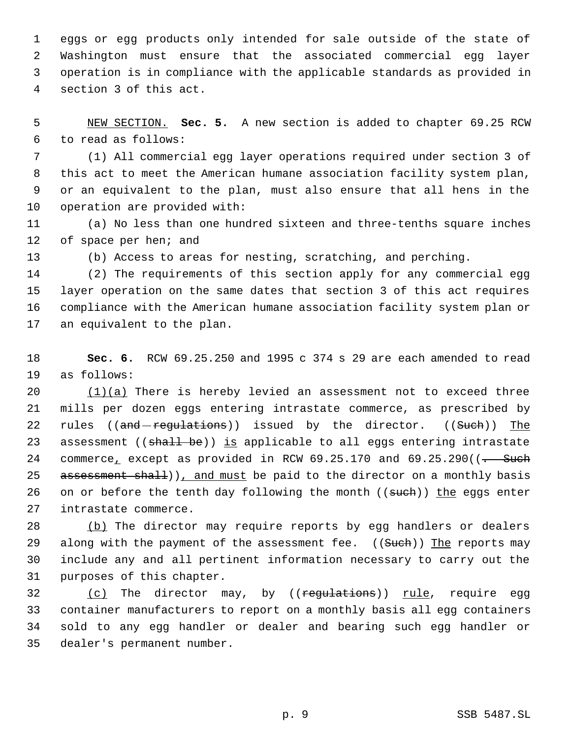eggs or egg products only intended for sale outside of the state of Washington must ensure that the associated commercial egg layer operation is in compliance with the applicable standards as provided in section 3 of this act.

 NEW SECTION. **Sec. 5.** A new section is added to chapter 69.25 RCW to read as follows:

 (1) All commercial egg layer operations required under section 3 of this act to meet the American humane association facility system plan, or an equivalent to the plan, must also ensure that all hens in the operation are provided with:

 (a) No less than one hundred sixteen and three-tenths square inches 12 of space per hen; and

(b) Access to areas for nesting, scratching, and perching.

 (2) The requirements of this section apply for any commercial egg layer operation on the same dates that section 3 of this act requires compliance with the American humane association facility system plan or an equivalent to the plan.

 **Sec. 6.** RCW 69.25.250 and 1995 c 374 s 29 are each amended to read as follows:

 $(1)(a)$  There is hereby levied an assessment not to exceed three mills per dozen eggs entering intrastate commerce, as prescribed by 22 rules ((and regulations)) issued by the director. ((Such)) The 23 assessment ((shall be)) is applicable to all eggs entering intrastate 24 commerce, except as provided in RCW  $69.25.170$  and  $69.25.290$  ( $\left(-\text{Such}\right)$ 25 assessment shall), and must be paid to the director on a monthly basis 26 on or before the tenth day following the month ((such)) the eggs enter intrastate commerce.

28 (b) The director may require reports by egg handlers or dealers 29 along with the payment of the assessment fee. ((Such)) The reports may include any and all pertinent information necessary to carry out the purposes of this chapter.

32 (c) The director may, by ((regulations)) rule, require egg container manufacturers to report on a monthly basis all egg containers sold to any egg handler or dealer and bearing such egg handler or dealer's permanent number.